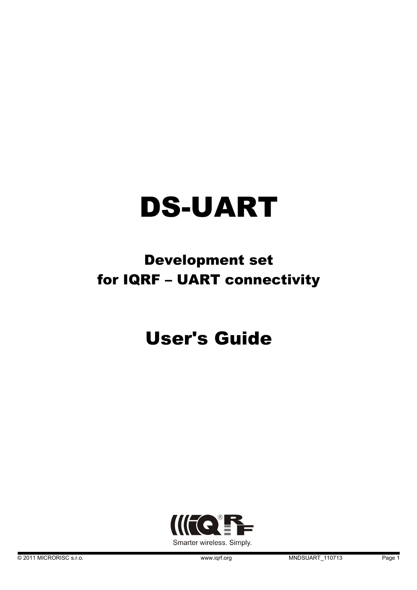# DS-UART

### Development set for IQRF – UART connectivity

## User's Guide

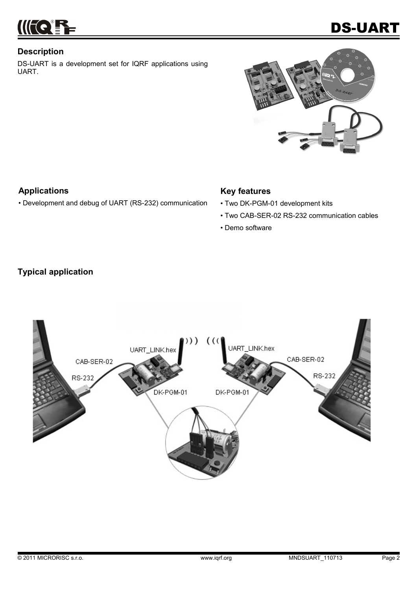

#### **Description**

DS-UART is a development set for IQRF applications using UART.



#### **Applications**

• Development and debug of UART (RS-232) communication

#### **Key features**

- Two DK-PGM-01 development kits
- Two CAB-SER-02 RS-232 communication cables
- Demo software

#### **Typical application**

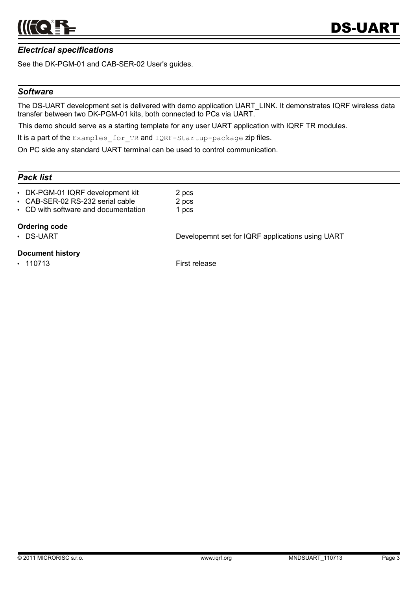

#### *Electrical specifications*

See the DK-PGM-01 and CAB-SER-02 User's guides.

#### *Software*

The DS-UART development set is delivered with demo application UART\_LINK. It demonstrates IQRF wireless data transfer between two DK-PGM-01 kits, both connected to PCs via UART.

This demo should serve as a starting template for any user UART application with IQRF TR modules.

It is a part of the Examples for TR and IQRF-Startup-package zip files.

On PC side any standard UART terminal can be used to control communication.

#### *Pack list*

- DK-PGM-01 IQRF development kit 2 pcs
- CAB-SER-02 RS-232 serial cable 2 pcs
- CD with software and documentation 1 pcs

#### **Ordering code**

• DS-UART DEVelopemnt set for IQRF applications using UART

#### **Document history**

• 110713 First release